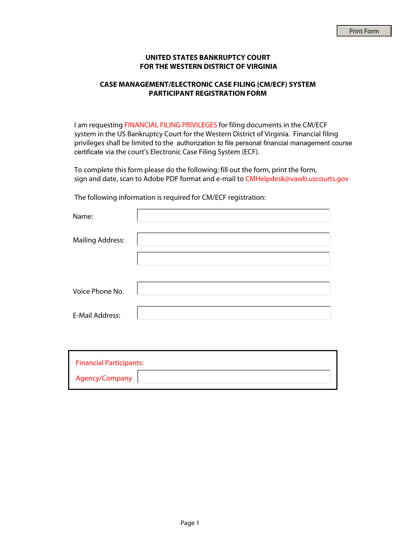## **UNITED STATES BANKRUPTCY COURT FOR THE WESTERN DISTRICT OF VIRGINIA**

## **CASE MANAGEMENT/ELECTRONIC CASE FILING (CM/ECF) SYSTEM PARTICIPANT REGISTRATION FORM**

I am requesting FINANCIAL FILING PRIVILEGES for filing documents in the CM/ECF system in the US Bankruptcy Court for the Western District of Virginia. Financial filing privileges shall be limited to the authorization to file personal financial management course certificate via the court's Electronic Case Filing System (ECF).

To complete this form please do the following: fill out the form, print the form, sign and date, scan to Adobe PDF format and e-mail to CMHelpdesk@vawb.uscourts.gov

The following information is required for CM/ECF registration:

| Name:                   |  |
|-------------------------|--|
| <b>Mailing Address:</b> |  |
|                         |  |
| Voice Phone No.         |  |
|                         |  |
| <b>E-Mail Address:</b>  |  |

| <b>Financial Participants:</b> |  |
|--------------------------------|--|
| Agency/Company                 |  |